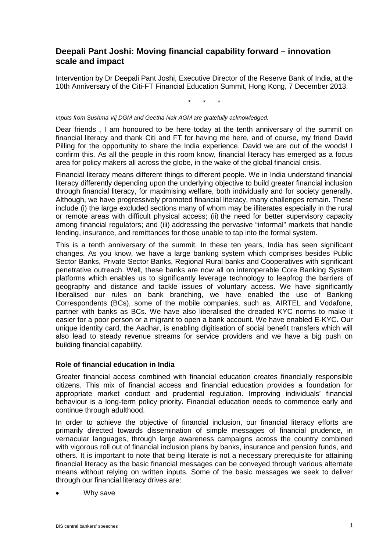# **Deepali Pant Joshi: Moving financial capability forward – innovation scale and impact**

Intervention by Dr Deepali Pant Joshi, Executive Director of the Reserve Bank of India, at the 10th Anniversary of the Citi-FT Financial Education Summit, Hong Kong, 7 December 2013.

\* \* \*

#### *Inputs from Sushma Vij DGM and Geetha Nair AGM are gratefully acknowledged.*

Dear friends , I am honoured to be here today at the tenth anniversary of the summit on financial literacy and thank Citi and FT for having me here, and of course, my friend David Pilling for the opportunity to share the India experience. David we are out of the woods! I confirm this. As all the people in this room know, financial literacy has emerged as a focus area for policy makers all across the globe, in the wake of the global financial crisis.

Financial literacy means different things to different people. We in India understand financial literacy differently depending upon the underlying objective to build greater financial inclusion through financial literacy, for maximising welfare, both individually and for society generally. Although, we have progressively promoted financial literacy, many challenges remain. These include (i) the large excluded sections many of whom may be illiterates especially in the rural or remote areas with difficult physical access; (ii) the need for better supervisory capacity among financial regulators; and (iii) addressing the pervasive "informal" markets that handle lending, insurance, and remittances for those unable to tap into the formal system.

This is a tenth anniversary of the summit. In these ten years, India has seen significant changes. As you know, we have a large banking system which comprises besides Public Sector Banks, Private Sector Banks, Regional Rural banks and Cooperatives with significant penetrative outreach. Well, these banks are now all on interoperable Core Banking System platforms which enables us to significantly leverage technology to leapfrog the barriers of geography and distance and tackle issues of voluntary access. We have significantly liberalised our rules on bank branching, we have enabled the use of Banking Correspondents (BCs), some of the mobile companies, such as, AIRTEL and Vodafone, partner with banks as BCs. We have also liberalised the dreaded KYC norms to make it easier for a poor person or a migrant to open a bank account. We have enabled E-KYC. Our unique identity card, the Aadhar, is enabling digitisation of social benefit transfers which will also lead to steady revenue streams for service providers and we have a big push on building financial capability.

## **Role of financial education in India**

Greater financial access combined with financial education creates financially responsible citizens. This mix of financial access and financial education provides a foundation for appropriate market conduct and prudential regulation. Improving individuals' financial behaviour is a long-term policy priority. Financial education needs to commence early and continue through adulthood.

In order to achieve the objective of financial inclusion, our financial literacy efforts are primarily directed towards dissemination of simple messages of financial prudence, in vernacular languages, through large awareness campaigns across the country combined with vigorous roll out of financial inclusion plans by banks, insurance and pension funds, and others. It is important to note that being literate is not a necessary prerequisite for attaining financial literacy as the basic financial messages can be conveyed through various alternate means without relying on written inputs. Some of the basic messages we seek to deliver through our financial literacy drives are:

• Why save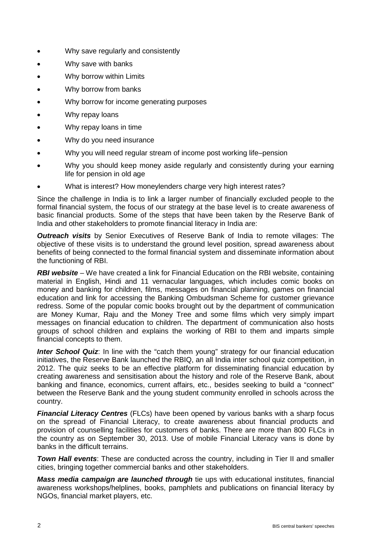- Why save regularly and consistently
- Why save with banks
- Why borrow within Limits
- Why borrow from banks
- Why borrow for income generating purposes
- Why repay loans
- Why repay loans in time
- Why do you need insurance
- Why you will need regular stream of income post working life–pension
- Why you should keep money aside regularly and consistently during your earning life for pension in old age
- What is interest? How moneylenders charge very high interest rates?

Since the challenge in India is to link a larger number of financially excluded people to the formal financial system, the focus of our strategy at the base level is to create awareness of basic financial products. Some of the steps that have been taken by the Reserve Bank of India and other stakeholders to promote financial literacy in India are:

*Outreach visits* by Senior Executives of Reserve Bank of India to remote villages: The objective of these visits is to understand the ground level position, spread awareness about benefits of being connected to the formal financial system and disseminate information about the functioning of RBI.

**RBI website** – We have created a link for Financial Education on the RBI website, containing material in English, Hindi and 11 vernacular languages, which includes comic books on money and banking for children, films, messages on financial planning, games on financial education and link for accessing the Banking Ombudsman Scheme for customer grievance redress. Some of the popular comic books brought out by the department of communication are Money Kumar, Raju and the Money Tree and some films which very simply impart messages on financial education to children. The department of communication also hosts groups of school children and explains the working of RBI to them and imparts simple financial concepts to them.

**Inter School Quiz**: In line with the "catch them young" strategy for our financial education initiatives, the Reserve Bank launched the RBIQ, an all India inter school quiz competition, in 2012. The quiz seeks to be an effective platform for disseminating financial education by creating awareness and sensitisation about the history and role of the Reserve Bank, about banking and finance, economics, current affairs, etc., besides seeking to build a "connect" between the Reserve Bank and the young student community enrolled in schools across the country.

*Financial Literacy Centres* (FLCs) have been opened by various banks with a sharp focus on the spread of Financial Literacy, to create awareness about financial products and provision of counselling facilities for customers of banks. There are more than 800 FLCs in the country as on September 30, 2013. Use of mobile Financial Literacy vans is done by banks in the difficult terrains.

**Town Hall events:** These are conducted across the country, including in Tier II and smaller cities, bringing together commercial banks and other stakeholders.

*Mass media campaign are launched through* tie ups with educational institutes, financial awareness workshops/helplines, books, pamphlets and publications on financial literacy by NGOs, financial market players, etc.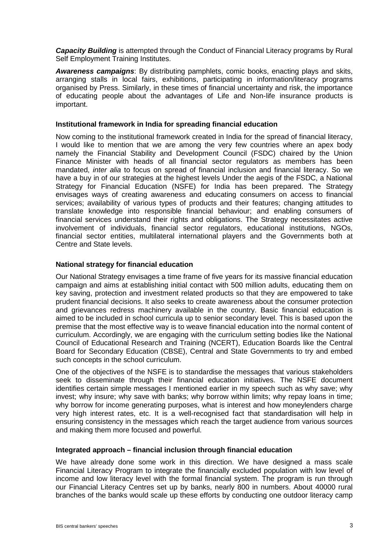**Capacity Building** is attempted through the Conduct of Financial Literacy programs by Rural Self Employment Training Institutes.

*Awareness campaigns*: By distributing pamphlets, comic books, enacting plays and skits, arranging stalls in local fairs, exhibitions, participating in information/literacy programs organised by Press. Similarly, in these times of financial uncertainty and risk, the importance of educating people about the advantages of Life and Non-life insurance products is important.

#### **Institutional framework in India for spreading financial education**

Now coming to the institutional framework created in India for the spread of financial literacy, I would like to mention that we are among the very few countries where an apex body namely the Financial Stability and Development Council (FSDC) chaired by the Union Finance Minister with heads of all financial sector regulators as members has been mandated, *inter alia* to focus on spread of financial inclusion and financial literacy. So we have a buy in of our strategies at the highest levels Under the aegis of the FSDC, a National Strategy for Financial Education (NSFE) for India has been prepared. The Strategy envisages ways of creating awareness and educating consumers on access to financial services; availability of various types of products and their features; changing attitudes to translate knowledge into responsible financial behaviour; and enabling consumers of financial services understand their rights and obligations. The Strategy necessitates active involvement of individuals, financial sector regulators, educational institutions, NGOs, financial sector entities, multilateral international players and the Governments both at Centre and State levels.

### **National strategy for financial education**

Our National Strategy envisages a time frame of five years for its massive financial education campaign and aims at establishing initial contact with 500 million adults, educating them on key saving, protection and investment related products so that they are empowered to take prudent financial decisions. It also seeks to create awareness about the consumer protection and grievances redress machinery available in the country. Basic financial education is aimed to be included in school curricula up to senior secondary level. This is based upon the premise that the most effective way is to weave financial education into the normal content of curriculum. Accordingly, we are engaging with the curriculum setting bodies like the National Council of Educational Research and Training (NCERT), Education Boards like the Central Board for Secondary Education (CBSE), Central and State Governments to try and embed such concepts in the school curriculum.

One of the objectives of the NSFE is to standardise the messages that various stakeholders seek to disseminate through their financial education initiatives. The NSFE document identifies certain simple messages I mentioned earlier in my speech such as why save; why invest; why insure; why save with banks; why borrow within limits; why repay loans in time; why borrow for income generating purposes, what is interest and how moneylenders charge very high interest rates, etc. It is a well-recognised fact that standardisation will help in ensuring consistency in the messages which reach the target audience from various sources and making them more focused and powerful.

#### **Integrated approach – financial inclusion through financial education**

We have already done some work in this direction. We have designed a mass scale Financial Literacy Program to integrate the financially excluded population with low level of income and low literacy level with the formal financial system. The program is run through our Financial Literacy Centres set up by banks, nearly 800 in numbers. About 40000 rural branches of the banks would scale up these efforts by conducting one outdoor literacy camp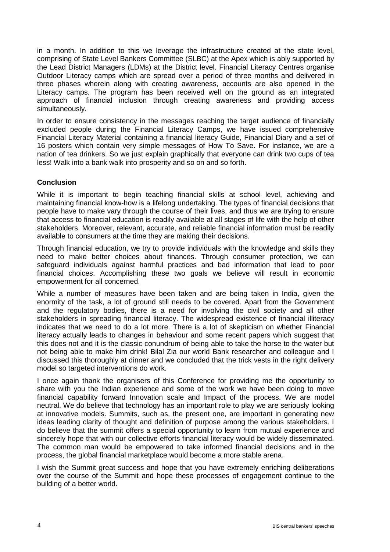in a month. In addition to this we leverage the infrastructure created at the state level, comprising of State Level Bankers Committee (SLBC) at the Apex which is ably supported by the Lead District Managers (LDMs) at the District level. Financial Literacy Centres organise Outdoor Literacy camps which are spread over a period of three months and delivered in three phases wherein along with creating awareness, accounts are also opened in the Literacy camps. The program has been received well on the ground as an integrated approach of financial inclusion through creating awareness and providing access simultaneously.

In order to ensure consistency in the messages reaching the target audience of financially excluded people during the Financial Literacy Camps, we have issued comprehensive Financial Literacy Material containing a financial literacy Guide, Financial Diary and a set of 16 posters which contain very simple messages of How To Save. For instance, we are a nation of tea drinkers. So we just explain graphically that everyone can drink two cups of tea less! Walk into a bank walk into prosperity and so on and so forth.

## **Conclusion**

While it is important to begin teaching financial skills at school level, achieving and maintaining financial know-how is a lifelong undertaking. The types of financial decisions that people have to make vary through the course of their lives, and thus we are trying to ensure that access to financial education is readily available at all stages of life with the help of other stakeholders. Moreover, relevant, accurate, and reliable financial information must be readily available to consumers at the time they are making their decisions.

Through financial education, we try to provide individuals with the knowledge and skills they need to make better choices about finances. Through consumer protection, we can safeguard individuals against harmful practices and bad information that lead to poor financial choices. Accomplishing these two goals we believe will result in economic empowerment for all concerned.

While a number of measures have been taken and are being taken in India, given the enormity of the task, a lot of ground still needs to be covered. Apart from the Government and the regulatory bodies, there is a need for involving the civil society and all other stakeholders in spreading financial literacy. The widespread existence of financial illiteracy indicates that we need to do a lot more. There is a lot of skepticism on whether Financial literacy actually leads to changes in behaviour and some recent papers which suggest that this does not and it is the classic conundrum of being able to take the horse to the water but not being able to make him drink! Bilal Zia our world Bank researcher and colleague and I discussed this thoroughly at dinner and we concluded that the trick vests in the right delivery model so targeted interventions do work.

I once again thank the organisers of this Conference for providing me the opportunity to share with you the Indian experience and some of the work we have been doing to move financial capability forward Innovation scale and Impact of the process. We are model neutral. We do believe that technology has an important role to play we are seriously looking at innovative models. Summits, such as, the present one, are important in generating new ideas leading clarity of thought and definition of purpose among the various stakeholders. I do believe that the summit offers a special opportunity to learn from mutual experience and sincerely hope that with our collective efforts financial literacy would be widely disseminated. The common man would be empowered to take informed financial decisions and in the process, the global financial marketplace would become a more stable arena.

I wish the Summit great success and hope that you have extremely enriching deliberations over the course of the Summit and hope these processes of engagement continue to the building of a better world.